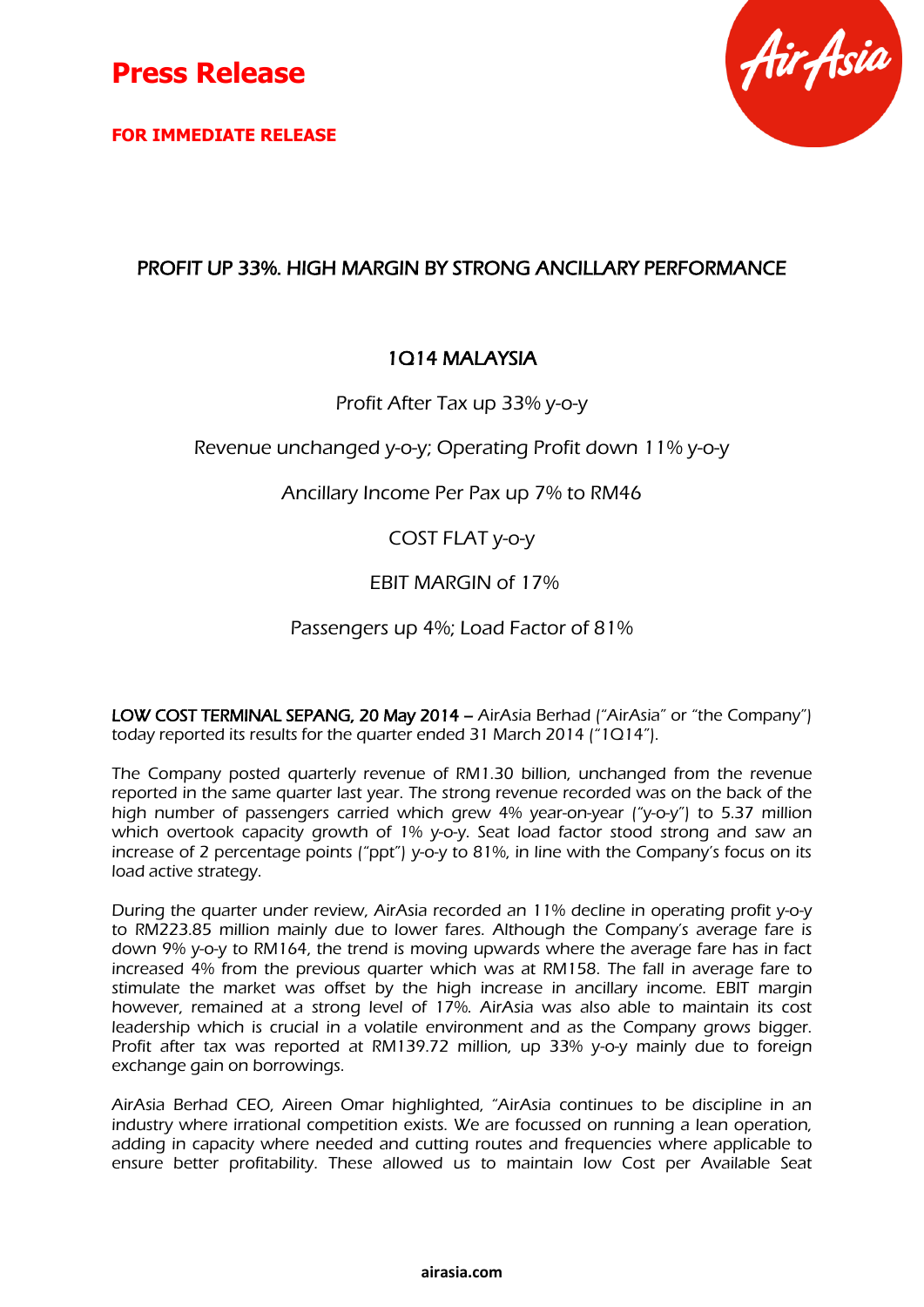

**FOR IMMEDIATE RELEASE**



## PROFIT UP 33%. HIGH MARGIN BY STRONG ANCILLARY PERFORMANCE

## 1Q14 MALAYSIA

Profit After Tax up 33% y-o-y

Revenue unchanged y-o-y; Operating Profit down 11% y-o-y

Ancillary Income Per Pax up 7% to RM46

### COST FLAT y-o-y

### EBIT MARGIN of 17%

### Passengers up 4%; Load Factor of 81%

LOW COST TERMINAL SEPANG, 20 May 2014 – AirAsia Berhad ("AirAsia" or "the Company") today reported its results for the quarter ended 31 March 2014 ("1Q14").

The Company posted quarterly revenue of RM1.30 billion, unchanged from the revenue reported in the same quarter last year. The strong revenue recorded was on the back of the high number of passengers carried which grew 4% year-on-year ("y-o-y") to 5.37 million which overtook capacity growth of 1% y-o-y. Seat load factor stood strong and saw an increase of 2 percentage points ("ppt") y-o-y to 81%, in line with the Company's focus on its load active strategy.

During the quarter under review, AirAsia recorded an 11% decline in operating profit y-o-y to RM223.85 million mainly due to lower fares. Although the Company's average fare is down 9% y-o-y to RM164, the trend is moving upwards where the average fare has in fact increased 4% from the previous quarter which was at RM158. The fall in average fare to stimulate the market was offset by the high increase in ancillary income. EBIT margin however, remained at a strong level of 17%. AirAsia was also able to maintain its cost leadership which is crucial in a volatile environment and as the Company grows bigger. Profit after tax was reported at RM139.72 million, up 33% y-o-y mainly due to foreign exchange gain on borrowings.

AirAsia Berhad CEO, Aireen Omar highlighted, "AirAsia continues to be discipline in an industry where irrational competition exists. We are focussed on running a lean operation, adding in capacity where needed and cutting routes and frequencies where applicable to ensure better profitability. These allowed us to maintain low Cost per Available Seat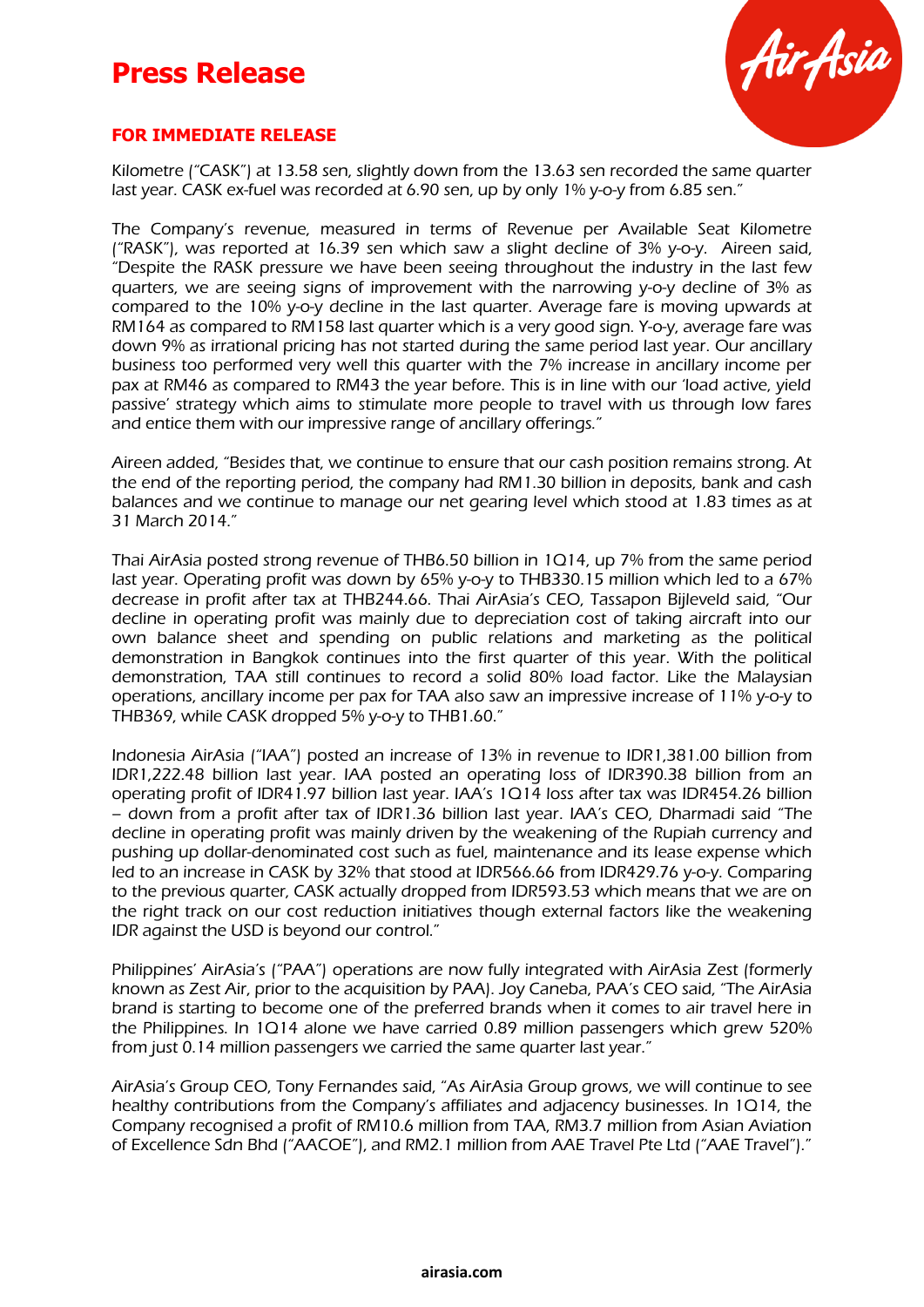# **Press Release**



#### **FOR IMMEDIATE RELEASE**

Kilometre ("CASK") at 13.58 sen, slightly down from the 13.63 sen recorded the same quarter last year. CASK ex-fuel was recorded at 6.90 sen, up by only 1% y-o-y from 6.85 sen."

The Company's revenue, measured in terms of Revenue per Available Seat Kilometre ("RASK"), was reported at 16.39 sen which saw a slight decline of 3% y-o-y. Aireen said, "Despite the RASK pressure we have been seeing throughout the industry in the last few quarters, we are seeing signs of improvement with the narrowing y-o-y decline of 3% as compared to the 10% y-o-y decline in the last quarter. Average fare is moving upwards at RM164 as compared to RM158 last quarter which is a very good sign. Y-o-y, average fare was down 9% as irrational pricing has not started during the same period last year. Our ancillary business too performed very well this quarter with the 7% increase in ancillary income per pax at RM46 as compared to RM43 the year before. This is in line with our 'load active, yield passive' strategy which aims to stimulate more people to travel with us through low fares and entice them with our impressive range of ancillary offerings."

Aireen added, "Besides that, we continue to ensure that our cash position remains strong. At the end of the reporting period, the company had RM1.30 billion in deposits, bank and cash balances and we continue to manage our net gearing level which stood at 1.83 times as at 31 March 2014."

Thai AirAsia posted strong revenue of THB6.50 billion in 1Q14, up 7% from the same period last year. Operating profit was down by 65% y-o-y to THB330.15 million which led to a 67% decrease in profit after tax at THB244.66. Thai AirAsia's CEO, Tassapon Bijleveld said, "Our decline in operating profit was mainly due to depreciation cost of taking aircraft into our own balance sheet and spending on public relations and marketing as the political demonstration in Bangkok continues into the first quarter of this year. With the political demonstration, TAA still continues to record a solid 80% load factor. Like the Malaysian operations, ancillary income per pax for TAA also saw an impressive increase of 11% y-o-y to THB369, while CASK dropped 5% y-o-y to THB1.60."

Indonesia AirAsia ("IAA") posted an increase of 13% in revenue to IDR1,381.00 billion from IDR1,222.48 billion last year. IAA posted an operating loss of IDR390.38 billion from an operating profit of IDR41.97 billion last year. IAA's 1Q14 loss after tax was IDR454.26 billion – down from a profit after tax of IDR1.36 billion last year. IAA's CEO, Dharmadi said "The decline in operating profit was mainly driven by the weakening of the Rupiah currency and pushing up dollar-denominated cost such as fuel, maintenance and its lease expense which led to an increase in CASK by 32% that stood at IDR566.66 from IDR429.76 y-o-y. Comparing to the previous quarter, CASK actually dropped from IDR593.53 which means that we are on the right track on our cost reduction initiatives though external factors like the weakening IDR against the USD is beyond our control."

Philippines' AirAsia's ("PAA") operations are now fully integrated with AirAsia Zest (formerly known as Zest Air, prior to the acquisition by PAA). Joy Caneba, PAA's CEO said, "The AirAsia brand is starting to become one of the preferred brands when it comes to air travel here in the Philippines. In 1Q14 alone we have carried 0.89 million passengers which grew 520% from just 0.14 million passengers we carried the same quarter last year."

AirAsia's Group CEO, Tony Fernandes said, "As AirAsia Group grows, we will continue to see healthy contributions from the Company's affiliates and adjacency businesses. In 1Q14, the Company recognised a profit of RM10.6 million from TAA, RM3.7 million from Asian Aviation of Excellence Sdn Bhd ("AACOE"), and RM2.1 million from AAE Travel Pte Ltd ("AAE Travel")."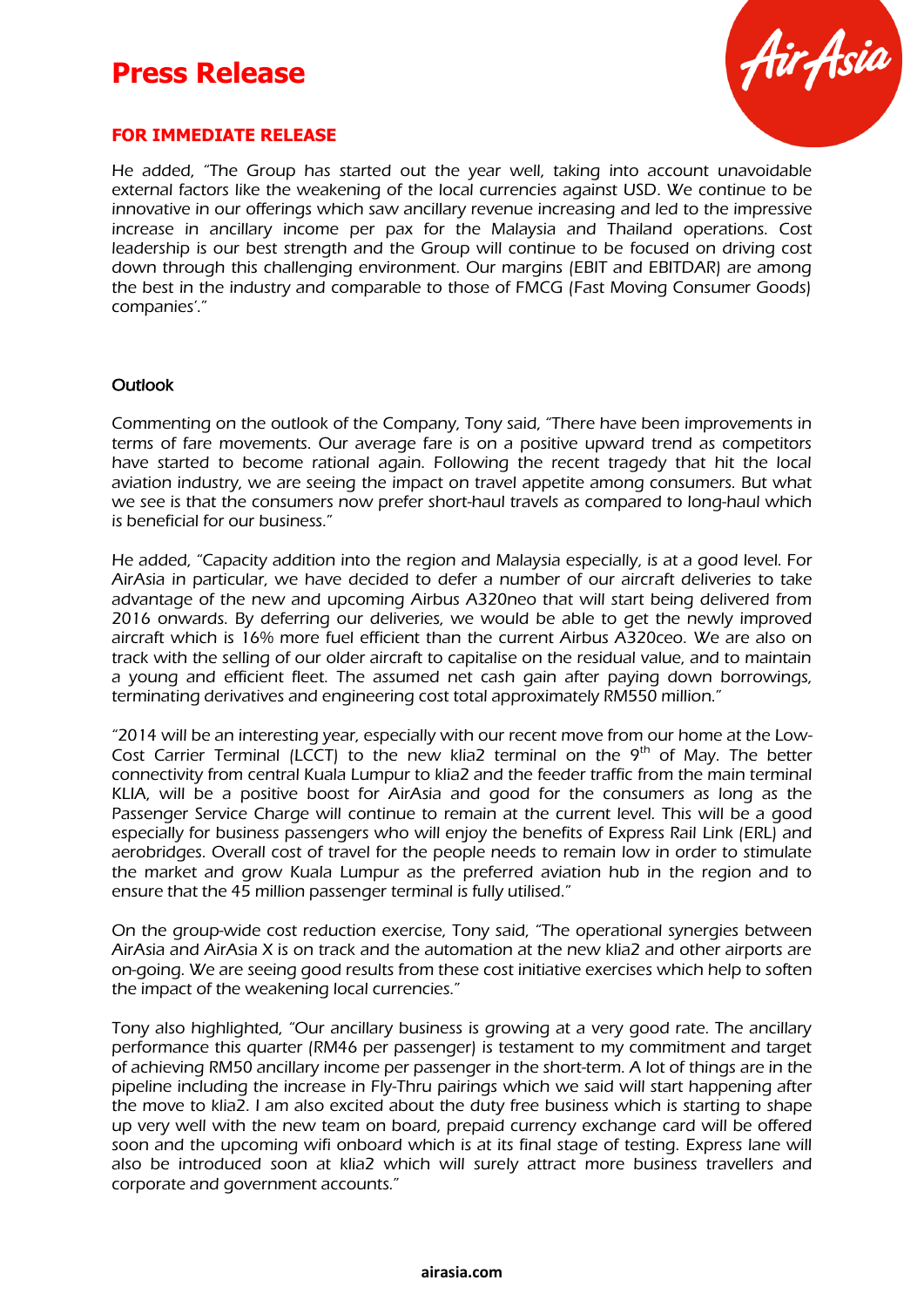# **Press Release**



#### **FOR IMMEDIATE RELEASE**

He added, "The Group has started out the year well, taking into account unavoidable external factors like the weakening of the local currencies against USD. We continue to be innovative in our offerings which saw ancillary revenue increasing and led to the impressive increase in ancillary income per pax for the Malaysia and Thailand operations. Cost leadership is our best strength and the Group will continue to be focused on driving cost down through this challenging environment. Our margins (EBIT and EBITDAR) are among the best in the industry and comparable to those of FMCG (Fast Moving Consumer Goods) companies'."

#### **Outlook**

Commenting on the outlook of the Company, Tony said, "There have been improvements in terms of fare movements. Our average fare is on a positive upward trend as competitors have started to become rational again. Following the recent tragedy that hit the local aviation industry, we are seeing the impact on travel appetite among consumers. But what we see is that the consumers now prefer short-haul travels as compared to long-haul which is beneficial for our business."

He added, "Capacity addition into the region and Malaysia especially, is at a good level. For AirAsia in particular, we have decided to defer a number of our aircraft deliveries to take advantage of the new and upcoming Airbus A320neo that will start being delivered from 2016 onwards. By deferring our deliveries, we would be able to get the newly improved aircraft which is 16% more fuel efficient than the current Airbus A320ceo. We are also on track with the selling of our older aircraft to capitalise on the residual value, and to maintain a young and efficient fleet. The assumed net cash gain after paying down borrowings, terminating derivatives and engineering cost total approximately RM550 million."

"2014 will be an interesting year, especially with our recent move from our home at the Low-Cost Carrier Terminal (LCCT) to the new klia2 terminal on the  $9<sup>th</sup>$  of May. The better connectivity from central Kuala Lumpur to klia2 and the feeder traffic from the main terminal KLIA, will be a positive boost for AirAsia and good for the consumers as long as the Passenger Service Charge will continue to remain at the current level. This will be a good especially for business passengers who will enjoy the benefits of Express Rail Link (ERL) and aerobridges. Overall cost of travel for the people needs to remain low in order to stimulate the market and grow Kuala Lumpur as the preferred aviation hub in the region and to ensure that the 45 million passenger terminal is fully utilised."

On the group-wide cost reduction exercise, Tony said, "The operational synergies between AirAsia and AirAsia X is on track and the automation at the new klia2 and other airports are on-going. We are seeing good results from these cost initiative exercises which help to soften the impact of the weakening local currencies."

Tony also highlighted, "Our ancillary business is growing at a very good rate. The ancillary performance this quarter (RM46 per passenger) is testament to my commitment and target of achieving RM50 ancillary income per passenger in the short-term. A lot of things are in the pipeline including the increase in Fly-Thru pairings which we said will start happening after the move to klia2. I am also excited about the duty free business which is starting to shape up very well with the new team on board, prepaid currency exchange card will be offered soon and the upcoming wifi onboard which is at its final stage of testing. Express lane will also be introduced soon at klia2 which will surely attract more business travellers and corporate and government accounts."